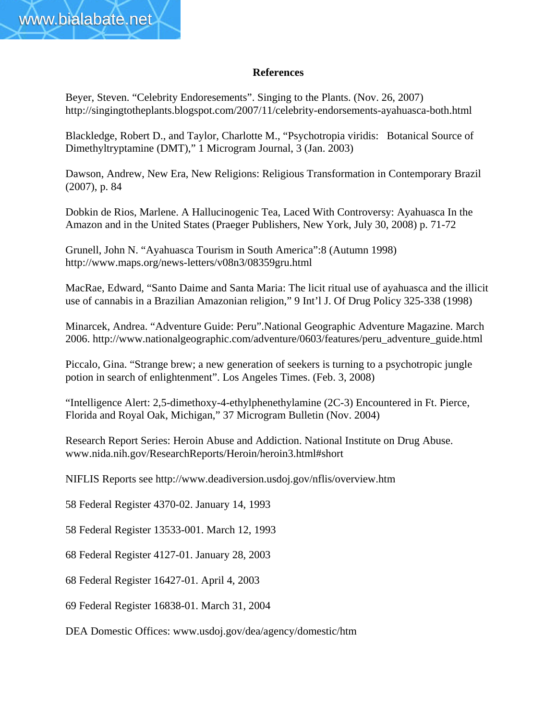

## **References**

Beyer, Steven. "Celebrity Endoresements". Singing to the Plants. (Nov. 26, 2007) http://singingtotheplants.blogspot.com/2007/11/celebrity-endorsements-ayahuasca-both.html

Blackledge, Robert D., and Taylor, Charlotte M., "Psychotropia viridis: Botanical Source of Dimethyltryptamine (DMT)," 1 Microgram Journal, 3 (Jan. 2003)

Dawson, Andrew, New Era, New Religions: Religious Transformation in Contemporary Brazil (2007), p. 84

Dobkin de Rios, Marlene. A Hallucinogenic Tea, Laced With Controversy: Ayahuasca In the Amazon and in the United States (Praeger Publishers, New York, July 30, 2008) p. 71-72

Grunell, John N. "Ayahuasca Tourism in South America":8 (Autumn 1998) http://www.maps.org/news-letters/v08n3/08359gru.html

MacRae, Edward, "Santo Daime and Santa Maria: The licit ritual use of ayahuasca and the illicit use of cannabis in a Brazilian Amazonian religion," 9 Int'l J. Of Drug Policy 325-338 (1998)

Minarcek, Andrea. "Adventure Guide: Peru".National Geographic Adventure Magazine. March 2006. http://www.nationalgeographic.com/adventure/0603/features/peru\_adventure\_guide.html

Piccalo, Gina. "Strange brew; a new generation of seekers is turning to a psychotropic jungle potion in search of enlightenment". Los Angeles Times. (Feb. 3, 2008)

"Intelligence Alert: 2,5-dimethoxy-4-ethylphenethylamine (2C-3) Encountered in Ft. Pierce, Florida and Royal Oak, Michigan," 37 Microgram Bulletin (Nov. 2004)

Research Report Series: Heroin Abuse and Addiction. National Institute on Drug Abuse. www.nida.nih.gov/ResearchReports/Heroin/heroin3.html#short

NIFLIS Reports see http://www.deadiversion.usdoj.gov/nflis/overview.htm

58 Federal Register 4370-02. January 14, 1993

58 Federal Register 13533-001. March 12, 1993

68 Federal Register 4127-01. January 28, 2003

68 Federal Register 16427-01. April 4, 2003

69 Federal Register 16838-01. March 31, 2004

DEA Domestic Offices: www.usdoj.gov/dea/agency/domestic/htm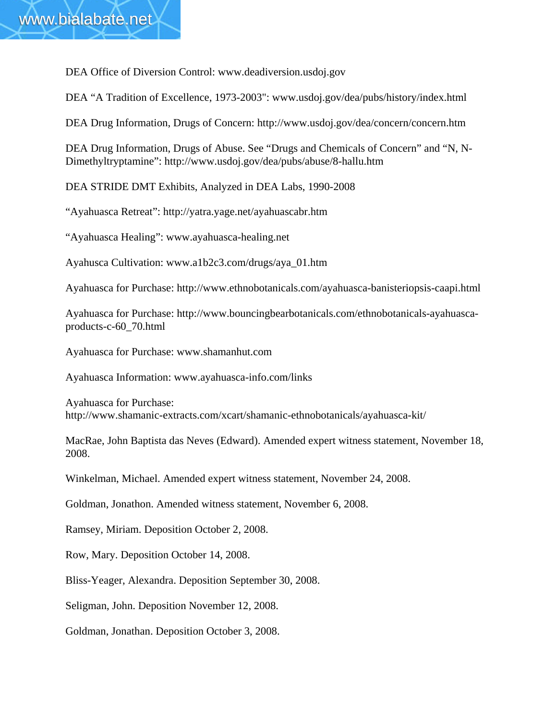DEA Office of Diversion Control: www.deadiversion.usdoj.gov

DEA "A Tradition of Excellence, 1973-2003": www.usdoj.gov/dea/pubs/history/index.html

DEA Drug Information, Drugs of Concern: http://www.usdoj.gov/dea/concern/concern.htm

DEA Drug Information, Drugs of Abuse. See "Drugs and Chemicals of Concern" and "N, N-Dimethyltryptamine": http://www.usdoj.gov/dea/pubs/abuse/8-hallu.htm

DEA STRIDE DMT Exhibits, Analyzed in DEA Labs, 1990-2008

"Ayahuasca Retreat": http://yatra.yage.net/ayahuascabr.htm

"Ayahuasca Healing": www.ayahuasca-healing.net

Ayahusca Cultivation: www.a1b2c3.com/drugs/aya\_01.htm

Ayahuasca for Purchase: http://www.ethnobotanicals.com/ayahuasca-banisteriopsis-caapi.html

Ayahuasca for Purchase: http://www.bouncingbearbotanicals.com/ethnobotanicals-ayahuascaproducts-c-60\_70.html

Ayahuasca for Purchase: www.shamanhut.com

Ayahuasca Information: www.ayahuasca-info.com/links

Ayahuasca for Purchase: http://www.shamanic-extracts.com/xcart/shamanic-ethnobotanicals/ayahuasca-kit/

MacRae, John Baptista das Neves (Edward). Amended expert witness statement, November 18, 2008.

Winkelman, Michael. Amended expert witness statement, November 24, 2008.

Goldman, Jonathon. Amended witness statement, November 6, 2008.

Ramsey, Miriam. Deposition October 2, 2008.

Row, Mary. Deposition October 14, 2008.

Bliss-Yeager, Alexandra. Deposition September 30, 2008.

Seligman, John. Deposition November 12, 2008.

Goldman, Jonathan. Deposition October 3, 2008.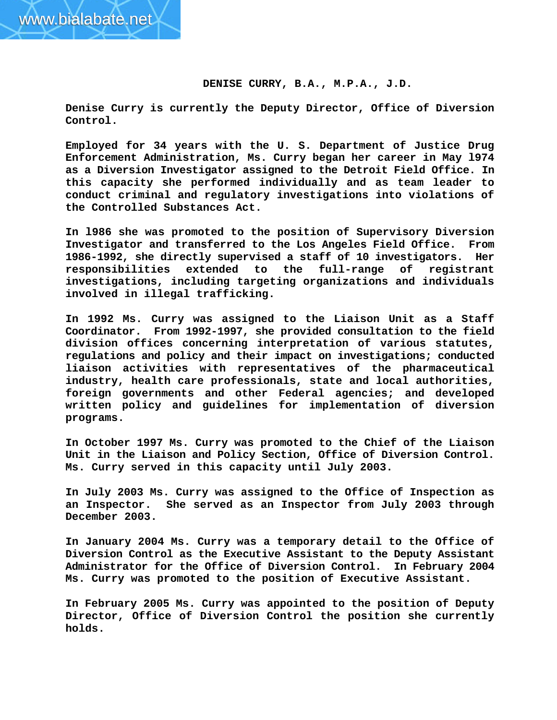## **DENISE CURRY, B.A., M.P.A., J.D.**

**Denise Curry is currently the Deputy Director, Office of Diversion Control.** 

**Employed for 34 years with the U. S. Department of Justice Drug Enforcement Administration, Ms. Curry began her career in May l974 as a Diversion Investigator assigned to the Detroit Field Office. In this capacity she performed individually and as team leader to conduct criminal and regulatory investigations into violations of the Controlled Substances Act.** 

**In l986 she was promoted to the position of Supervisory Diversion Investigator and transferred to the Los Angeles Field Office. From 1986-1992, she directly supervised a staff of 10 investigators. Her responsibilities extended to the full-range of registrant investigations, including targeting organizations and individuals involved in illegal trafficking.** 

**In 1992 Ms. Curry was assigned to the Liaison Unit as a Staff Coordinator. From 1992-1997, she provided consultation to the field division offices concerning interpretation of various statutes, regulations and policy and their impact on investigations; conducted liaison activities with representatives of the pharmaceutical industry, health care professionals, state and local authorities, foreign governments and other Federal agencies; and developed written policy and guidelines for implementation of diversion programs.** 

**In October 1997 Ms. Curry was promoted to the Chief of the Liaison Unit in the Liaison and Policy Section, Office of Diversion Control. Ms. Curry served in this capacity until July 2003.** 

**In July 2003 Ms. Curry was assigned to the Office of Inspection as an Inspector. She served as an Inspector from July 2003 through December 2003.** 

**In January 2004 Ms. Curry was a temporary detail to the Office of Diversion Control as the Executive Assistant to the Deputy Assistant Administrator for the Office of Diversion Control. In February 2004 Ms. Curry was promoted to the position of Executive Assistant.** 

**In February 2005 Ms. Curry was appointed to the position of Deputy Director, Office of Diversion Control the position she currently holds.**